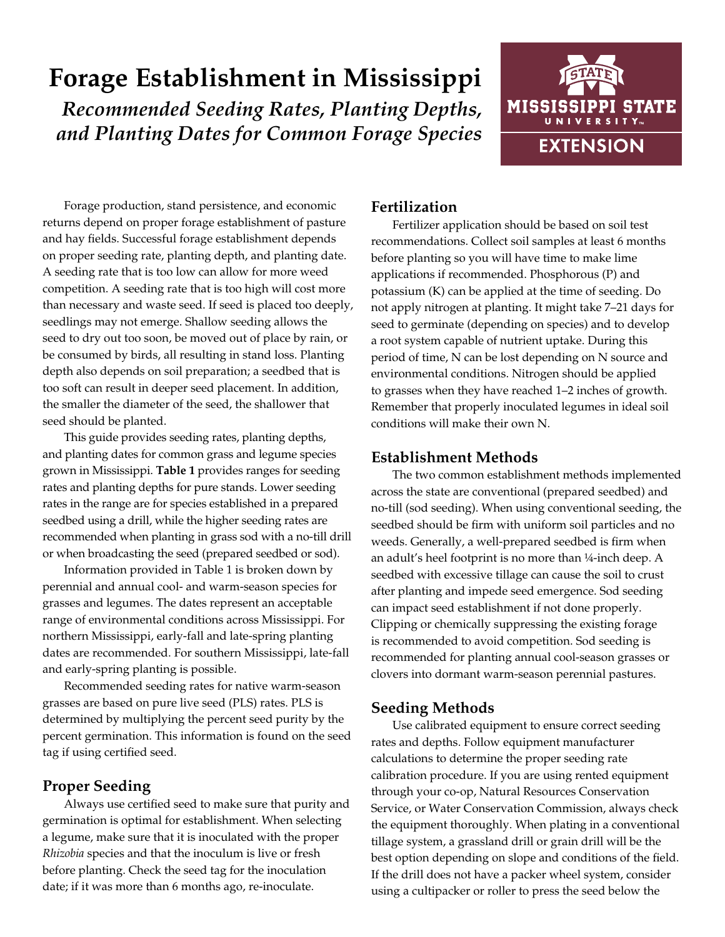# **Forage Establishment in Mississippi** *Recommended Seeding Rates, Planting Depths, and Planting Dates for Common Forage Species*



Forage production, stand persistence, and economic returns depend on proper forage establishment of pasture and hay fields. Successful forage establishment depends on proper seeding rate, planting depth, and planting date. A seeding rate that is too low can allow for more weed competition. A seeding rate that is too high will cost more than necessary and waste seed. If seed is placed too deeply, seedlings may not emerge. Shallow seeding allows the seed to dry out too soon, be moved out of place by rain, or be consumed by birds, all resulting in stand loss. Planting depth also depends on soil preparation; a seedbed that is too soft can result in deeper seed placement. In addition, the smaller the diameter of the seed, the shallower that seed should be planted.

This guide provides seeding rates, planting depths, and planting dates for common grass and legume species grown in Mississippi. **Table 1** provides ranges for seeding rates and planting depths for pure stands. Lower seeding rates in the range are for species established in a prepared seedbed using a drill, while the higher seeding rates are recommended when planting in grass sod with a no-till drill or when broadcasting the seed (prepared seedbed or sod).

Information provided in Table 1 is broken down by perennial and annual cool- and warm-season species for grasses and legumes. The dates represent an acceptable range of environmental conditions across Mississippi. For northern Mississippi, early-fall and late-spring planting dates are recommended. For southern Mississippi, late-fall and early-spring planting is possible.

Recommended seeding rates for native warm-season grasses are based on pure live seed (PLS) rates. PLS is determined by multiplying the percent seed purity by the percent germination. This information is found on the seed tag if using certified seed.

### **Proper Seeding**

Always use certified seed to make sure that purity and germination is optimal for establishment. When selecting a legume, make sure that it is inoculated with the proper *Rhizobia* species and that the inoculum is live or fresh before planting. Check the seed tag for the inoculation date; if it was more than 6 months ago, re-inoculate.

## **Fertilization**

Fertilizer application should be based on soil test recommendations. Collect soil samples at least 6 months before planting so you will have time to make lime applications if recommended. Phosphorous (P) and potassium (K) can be applied at the time of seeding. Do not apply nitrogen at planting. It might take 7–21 days for seed to germinate (depending on species) and to develop a root system capable of nutrient uptake. During this period of time, N can be lost depending on N source and environmental conditions. Nitrogen should be applied to grasses when they have reached 1–2 inches of growth. Remember that properly inoculated legumes in ideal soil conditions will make their own N.

### **Establishment Methods**

The two common establishment methods implemented across the state are conventional (prepared seedbed) and no-till (sod seeding). When using conventional seeding, the seedbed should be firm with uniform soil particles and no weeds. Generally, a well-prepared seedbed is firm when an adult's heel footprint is no more than ¼-inch deep. A seedbed with excessive tillage can cause the soil to crust after planting and impede seed emergence. Sod seeding can impact seed establishment if not done properly. Clipping or chemically suppressing the existing forage is recommended to avoid competition. Sod seeding is recommended for planting annual cool-season grasses or clovers into dormant warm-season perennial pastures.

### **Seeding Methods**

Use calibrated equipment to ensure correct seeding rates and depths. Follow equipment manufacturer calculations to determine the proper seeding rate calibration procedure. If you are using rented equipment through your co-op, Natural Resources Conservation Service, or Water Conservation Commission, always check the equipment thoroughly. When plating in a conventional tillage system, a grassland drill or grain drill will be the best option depending on slope and conditions of the field. If the drill does not have a packer wheel system, consider using a cultipacker or roller to press the seed below the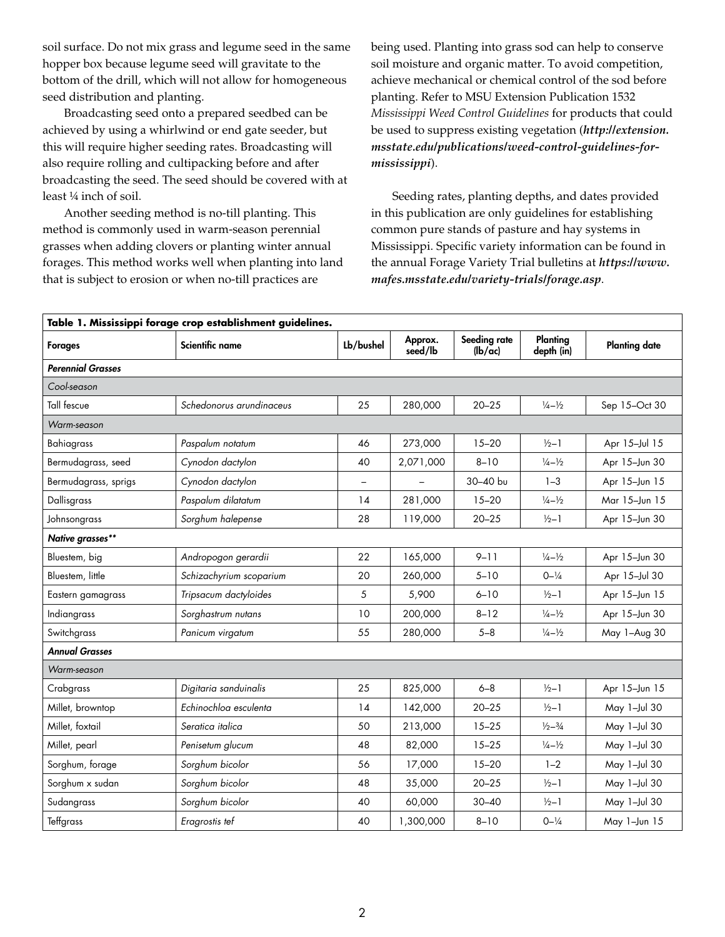soil surface. Do not mix grass and legume seed in the same hopper box because legume seed will gravitate to the bottom of the drill, which will not allow for homogeneous seed distribution and planting.

Broadcasting seed onto a prepared seedbed can be achieved by using a whirlwind or end gate seeder, but this will require higher seeding rates. Broadcasting will also require rolling and cultipacking before and after broadcasting the seed. The seed should be covered with at least ¼ inch of soil.

Another seeding method is no-till planting. This method is commonly used in warm-season perennial grasses when adding clovers or planting winter annual forages. This method works well when planting into land that is subject to erosion or when no-till practices are

being used. Planting into grass sod can help to conserve soil moisture and organic matter. To avoid competition, achieve mechanical or chemical control of the sod before planting. Refer to MSU Extension Publication 1532 *Mississippi Weed Control Guidelines* for products that could be used to suppress existing vegetation (*http://extension. msstate.edu/publications/weed-control-guidelines-formississippi*).

Seeding rates, planting depths, and dates provided in this publication are only guidelines for establishing common pure stands of pasture and hay systems in Mississippi. Specific variety information can be found in the annual Forage Variety Trial bulletins at *[https://www.](https://www.mafes.msstate.edu/variety-trials/forage.asp) [mafes.msstate.edu/variety-trials/forage.asp](https://www.mafes.msstate.edu/variety-trials/forage.asp)*.

| Table 1. Mississippi forage crop establishment guidelines. |                          |               |                    |                             |                             |                      |  |  |  |  |
|------------------------------------------------------------|--------------------------|---------------|--------------------|-----------------------------|-----------------------------|----------------------|--|--|--|--|
| <b>Forages</b>                                             | <b>Scientific name</b>   | Lb/bushel     | Approx.<br>seed/lb | Seeding rate<br>$l$ $l$ $l$ | Planting<br>depth (in)      | <b>Planting date</b> |  |  |  |  |
| <b>Perennial Grasses</b>                                   |                          |               |                    |                             |                             |                      |  |  |  |  |
| Cool-season                                                |                          |               |                    |                             |                             |                      |  |  |  |  |
| <b>Tall fescue</b>                                         | Schedonorus arundinaceus | 25            | 280,000            | $20 - 25$                   | $\frac{1}{4} - \frac{1}{2}$ | Sep 15-Oct 30        |  |  |  |  |
| Warm-season                                                |                          |               |                    |                             |                             |                      |  |  |  |  |
| Bahiagrass                                                 | Paspalum notatum         | 46            | 273,000            | $15 - 20$                   | $\frac{1}{2}$ -1            | Apr 15-Jul 15        |  |  |  |  |
| Bermudagrass, seed                                         | Cynodon dactylon         | 40            | 2,071,000          | $8 - 10$                    | $\frac{1}{4} - \frac{1}{2}$ | Apr 15-Jun 30        |  |  |  |  |
| Bermudagrass, sprigs                                       | Cynodon dactylon         | $\rightarrow$ |                    | 30-40 bu                    | $1 - 3$                     | Apr 15-Jun 15        |  |  |  |  |
| Dallisgrass                                                | Paspalum dilatatum       | 14            | 281,000            | $15 - 20$                   | $\frac{1}{4} - \frac{1}{2}$ | Mar 15-Jun 15        |  |  |  |  |
| Johnsongrass                                               | Sorghum halepense        | 28            | 119,000            | $20 - 25$                   | $\frac{1}{2}$ -1            | Apr 15-Jun 30        |  |  |  |  |
| Native grasses**                                           |                          |               |                    |                             |                             |                      |  |  |  |  |
| Bluestem, big                                              | Andropogon gerardii      | 22            | 165,000            | $9 - 11$                    | $\frac{1}{4} - \frac{1}{2}$ | Apr 15-Jun 30        |  |  |  |  |
| Bluestem, little                                           | Schizachyrium scoparium  | 20            | 260,000            | $5 - 10$                    | $0 - \frac{1}{4}$           | Apr 15-Jul 30        |  |  |  |  |
| Eastern gamagrass                                          | Tripsacum dactyloides    | 5             | 5,900              | $6 - 10$                    | $1/2 - 1$                   | Apr 15-Jun 15        |  |  |  |  |
| Indiangrass                                                | Sorghastrum nutans       | 10            | 200.000            | $8 - 12$                    | $\frac{1}{4} - \frac{1}{2}$ | Apr 15-Jun 30        |  |  |  |  |
| Switchgrass                                                | Panicum virgatum         | 55            | 280,000            | $5 - 8$                     | $\frac{1}{4} - \frac{1}{2}$ | May 1-Aug 30         |  |  |  |  |
| <b>Annual Grasses</b>                                      |                          |               |                    |                             |                             |                      |  |  |  |  |
| Warm-season                                                |                          |               |                    |                             |                             |                      |  |  |  |  |
| Crabgrass                                                  | Digitaria sanduinalis    | 25            | 825,000            | $6 - 8$                     | $1/2 - 1$                   | Apr 15-Jun 15        |  |  |  |  |
| Millet, browntop                                           | Echinochloa esculenta    | 14            | 142,000            | $20 - 25$                   | $\frac{1}{2}$ -1            | May 1-Jul 30         |  |  |  |  |
| Millet, foxtail                                            | Seratica italica         | 50            | 213,000            | $15 - 25$                   | $\frac{1}{2} - \frac{3}{4}$ | May 1-Jul 30         |  |  |  |  |
| Millet, pearl                                              | Penisetum glucum         | 48            | 82,000             | $15 - 25$                   | $\frac{1}{4} - \frac{1}{2}$ | May 1-Jul 30         |  |  |  |  |
| Sorghum, forage                                            | Sorghum bicolor          | 56            | 17,000             | $15 - 20$                   | $1 - 2$                     | May 1-Jul 30         |  |  |  |  |
| Sorghum x sudan                                            | Sorghum bicolor          | 48            | 35,000             | $20 - 25$                   | $\frac{1}{2}$ -1            | May 1-Jul 30         |  |  |  |  |
| Sudangrass                                                 | Sorghum bicolor          | 40            | 60,000             | $30 - 40$                   | $\frac{1}{2}$ -1            | May 1-Jul 30         |  |  |  |  |
| Teffgrass                                                  | Eragrostis tef           | 40            | 1,300,000          | $8 - 10$                    | $0 - \frac{1}{4}$           | May 1-Jun 15         |  |  |  |  |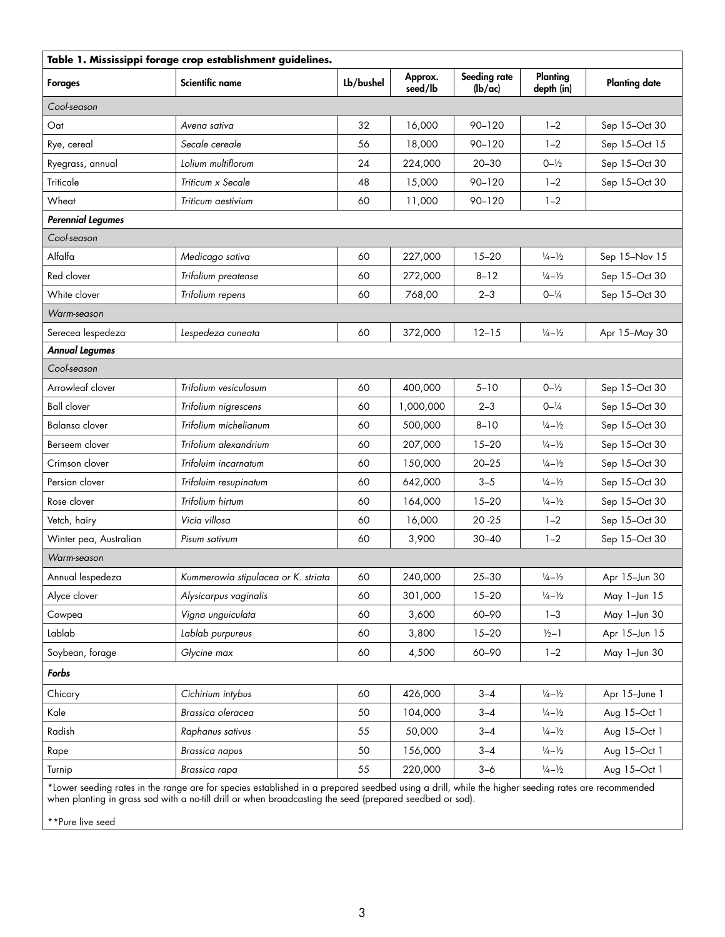| Table 1. Mississippi forage crop establishment guidelines.                                                                                        |                                     |           |                    |                         |                             |                      |  |  |  |
|---------------------------------------------------------------------------------------------------------------------------------------------------|-------------------------------------|-----------|--------------------|-------------------------|-----------------------------|----------------------|--|--|--|
| <b>Forages</b>                                                                                                                                    | Scientific name                     | Lb/bushel | Approx.<br>seed/lb | Seeding rate<br>(lb/ac) | Planting<br>depth (in)      | <b>Planting date</b> |  |  |  |
| Cool-season                                                                                                                                       |                                     |           |                    |                         |                             |                      |  |  |  |
| Oat                                                                                                                                               | Avena sativa                        | 32        | 16,000             | 90-120                  | $1 - 2$                     | Sep 15-Oct 30        |  |  |  |
| Rye, cereal                                                                                                                                       | Secale cereale                      | 56        | 18,000             | $90 - 120$              | $1 - 2$                     | Sep 15-Oct 15        |  |  |  |
| Ryegrass, annual                                                                                                                                  | Lolium multiflorum                  | 24        | 224,000            | $20 - 30$               | $0 - \frac{1}{2}$           | Sep 15-Oct 30        |  |  |  |
| Triticale                                                                                                                                         | Triticum x Secale                   | 48        | 15,000             | 90-120                  | $1 - 2$                     | Sep 15-Oct 30        |  |  |  |
| Wheat                                                                                                                                             | Triticum aestivium                  | 60        | 11,000             | $90 - 120$              | $1 - 2$                     |                      |  |  |  |
| <b>Perennial Legumes</b>                                                                                                                          |                                     |           |                    |                         |                             |                      |  |  |  |
| Cool-season                                                                                                                                       |                                     |           |                    |                         |                             |                      |  |  |  |
| Alfalfa                                                                                                                                           | Medicago sativa                     | 60        | 227,000            | $15 - 20$               | $\frac{1}{4} - \frac{1}{2}$ | Sep 15-Nov 15        |  |  |  |
| Red clover                                                                                                                                        | Trifolium preatense                 | 60        | 272,000            | $8 - 12$                | $\frac{1}{4} - \frac{1}{2}$ | Sep 15-Oct 30        |  |  |  |
| White clover                                                                                                                                      | Trifolium repens                    | 60        | 768,00             | $2 - 3$                 | $0 - \frac{1}{4}$           | Sep 15-Oct 30        |  |  |  |
| Warm-season                                                                                                                                       |                                     |           |                    |                         |                             |                      |  |  |  |
| Serecea lespedeza                                                                                                                                 | Lespedeza cuneata                   | 60        | 372,000            | $12 - 15$               | $\frac{1}{4} - \frac{1}{2}$ | Apr 15-May 30        |  |  |  |
| <b>Annual Legumes</b>                                                                                                                             |                                     |           |                    |                         |                             |                      |  |  |  |
| Cool-season                                                                                                                                       |                                     |           |                    |                         |                             |                      |  |  |  |
| Arrowleaf clover                                                                                                                                  | Trifolium vesiculosum               | 60        | 400,000            | $5 - 10$                | $0 - \frac{1}{2}$           | Sep 15-Oct 30        |  |  |  |
| <b>Ball clover</b>                                                                                                                                | Trifolium nigrescens                | 60        | 1,000,000          | $2 - 3$                 | $0 - \frac{1}{4}$           | Sep 15-Oct 30        |  |  |  |
| Balansa clover                                                                                                                                    | Trifolium michelianum               | 60        | 500,000            | $8 - 10$                | $\frac{1}{4} - \frac{1}{2}$ | Sep 15-Oct 30        |  |  |  |
| Berseem clover                                                                                                                                    | Trifolium alexandrium               | 60        | 207,000            | $15 - 20$               | $\frac{1}{4} - \frac{1}{2}$ | Sep 15-Oct 30        |  |  |  |
| Crimson clover                                                                                                                                    | Trifoluim incarnatum                | 60        | 150,000            | $20 - 25$               | $\frac{1}{4} - \frac{1}{2}$ | Sep 15-Oct 30        |  |  |  |
| Persian clover                                                                                                                                    | Trifoluim resupinatum               | 60        | 642,000            | $3 - 5$                 | $\frac{1}{4} - \frac{1}{2}$ | Sep 15-Oct 30        |  |  |  |
| Rose clover                                                                                                                                       | Trifolium hirtum                    | 60        | 164,000            | $15 - 20$               | $\frac{1}{4} - \frac{1}{2}$ | Sep 15-Oct 30        |  |  |  |
| Vetch, hairy                                                                                                                                      | Vicia villosa                       | 60        | 16,000             | $20 - 25$               | $1 - 2$                     | Sep 15-Oct 30        |  |  |  |
| Winter pea, Australian                                                                                                                            | Pisum sativum                       | 60        | 3,900              | $30 - 40$               | $1 - 2$                     | Sep 15-Oct 30        |  |  |  |
| Warm-season                                                                                                                                       |                                     |           |                    |                         |                             |                      |  |  |  |
| Annual lespedeza                                                                                                                                  | Kummerowia stipulacea or K. striata | 60        | 240,000            | $25 - 30$               | $\frac{1}{4} - \frac{1}{2}$ | Apr 15-Jun 30        |  |  |  |
| Alyce clover                                                                                                                                      | Alysicarpus vaginalis               | 60        | 301,000            | $15 - 20$               | $\frac{1}{4} - \frac{1}{2}$ | May 1-Jun 15         |  |  |  |
| Cowpea                                                                                                                                            | Vigna unguiculata                   | 60        | 3,600              | 60-90                   | $1 - 3$                     | May 1-Jun 30         |  |  |  |
| Lablab                                                                                                                                            | Lablab purpureus                    | 60        | 3,800              | $15 - 20$               | $1/2 - 1$                   | Apr 15-Jun 15        |  |  |  |
| Soybean, forage                                                                                                                                   | Glycine max                         | 60        | 4,500              | 60-90                   | $1 - 2$                     | May 1-Jun 30         |  |  |  |
| Forbs                                                                                                                                             |                                     |           |                    |                         |                             |                      |  |  |  |
| Chicory                                                                                                                                           | Cichirium intybus                   | 60        | 426,000            | $3 - 4$                 | $\frac{1}{4} - \frac{1}{2}$ | Apr 15-June 1        |  |  |  |
| Kale                                                                                                                                              | Brassica oleracea                   | 50        | 104,000            | $3 - 4$                 | $\frac{1}{4} - \frac{1}{2}$ | Aug 15-Oct 1         |  |  |  |
| Radish                                                                                                                                            | Raphanus sativus                    | 55        | 50,000             | $3 - 4$                 | $\frac{1}{4} - \frac{1}{2}$ | Aug 15-Oct 1         |  |  |  |
| Rape                                                                                                                                              | <b>Brassica napus</b>               | 50        | 156,000            | $3 - 4$                 | $\frac{1}{4} - \frac{1}{2}$ | Aug 15-Oct 1         |  |  |  |
| Turnip                                                                                                                                            | Brassica rapa                       | 55        | 220,000            | $3 - 6$                 | $\frac{1}{4} - \frac{1}{2}$ | Aug 15-Oct 1         |  |  |  |
| *Lower seeding rates in the range are for species established in a prepared seedbed using a drill, while the higher seeding rates are recommended |                                     |           |                    |                         |                             |                      |  |  |  |

when planting in grass sod with a no-till drill or when broadcasting the seed (prepared seedbed or sod).

\*\*Pure live seed